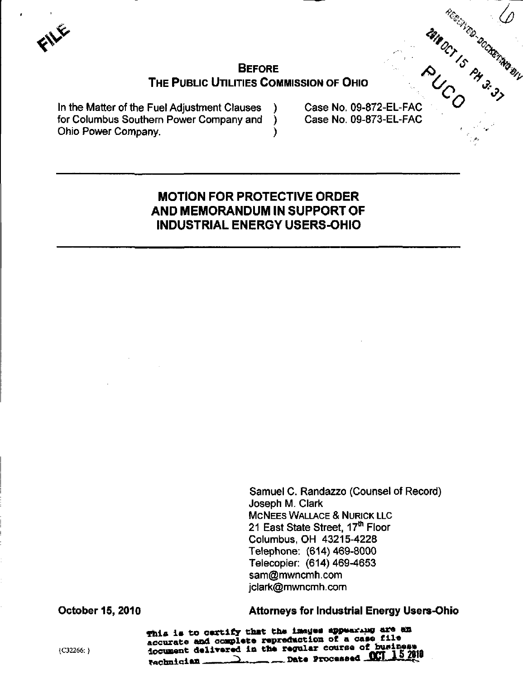# **BEFORE** THE PUBLIC UTILITIES COMMISSION OF OHIO

Υ

In the Matter of the Fuel Adjustment Clauses for Columbus Southern Power Company and Ohio Power Company.

MINOCT IS PASSAGE Case No. 09-872-EL-FAC Case No. 09-873-EL-FAC

## **MOTION FOR PROTECTIVE ORDER** AND MEMORANDUM IN SUPPORT OF **INDUSTRIAL ENERGY USERS-OHIO**

Samuel C. Randazzo (Counsel of Record) Joseph M. Clark **MCNEES WALLACE & NURICK LLC** 21 East State Street, 17th Floor Columbus, OH 43215-4228 Telephone: (614) 469-8000 Telecopier: (614) 469-4653 sam@mwncmh.com jclark@mwncmh.com

**October 15, 2010** 

**Attorneys for Industrial Energy Users-Ohio** 

This is to certify that the images appearing are an accurate and complete repreduction of a case file document delivered in the regular course of busing  $\sim$  Date Processed  $\sim$ rachnician.

{C32266: }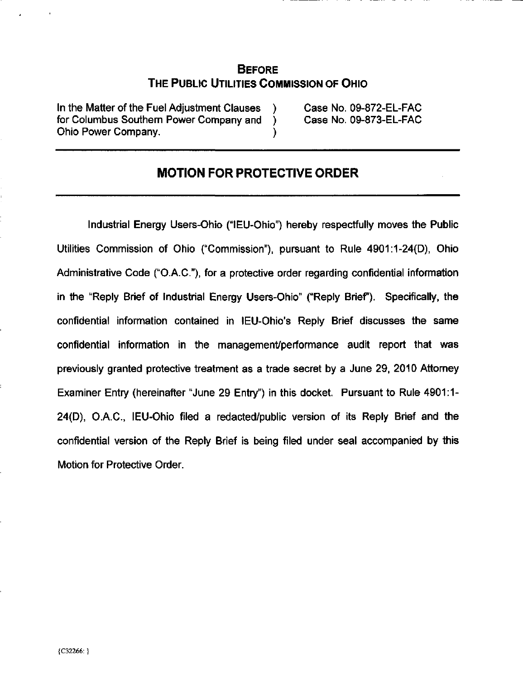## **BEFORE** THE PUBLIC UTILITIES COMMISSION OF OHIO

In the Matter of the Fuel Adjustment Clauses ) Case No. 09-872-EL-FAC for Columbus Southern Power Company and ) Case No. 09-873-EL-FAC Ohio Power Company. )

# MOTION FOR PROTECTIVE ORDER

Industrial Energy Users-Ohio ("lEU-Ohio") hereby respectfully moves the Public Utilities Commission of Ohio ("Commission"), pursuant to Rule 4901:1-24(0), Ohio Administrative Code ("O.A.C"), for a protective order regarding confidential information in the "Reply Brief of Industrial Energy Users-Ohio" ("Reply Brief"). Specifically, the confidential information contained in lEU-Ohio's Reply Brief discusses the same confidential information in the management/performance audit report that was previously granted protective treatment as a trade secret by a June 29, 2010 Attomey Examiner Entry (hereinafter "June 29 Entry") in this docket. Pursuant to Rule 4901:1- 24(D), O.A.C, lEU-Ohio filed a redacted/public version of its Reply Brief and the confidential version of the Reply Brief is being filed under seal accompanied by this Motion for Protective Order.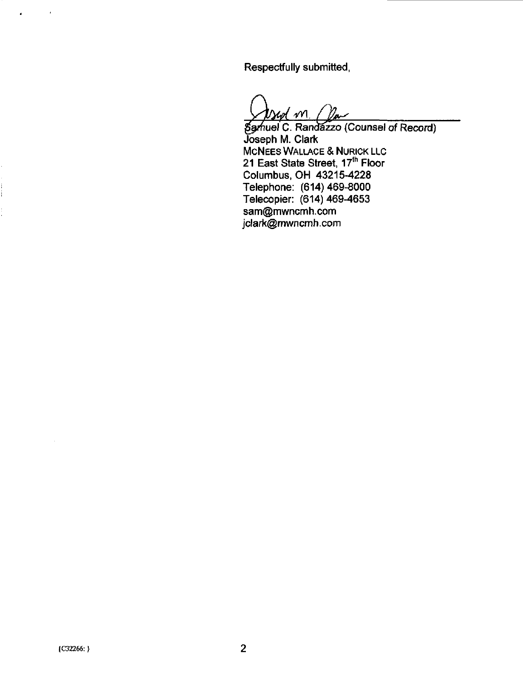Respectfully submitted,

 $\frac{4}{\sqrt{2}}$ 

luel C. Randăzzo (Counsel of Record). Joseph M. Clark MCNEES WALLACE & NURICK LLC 21 East State Street, 17<sup>th</sup> Floor Columbus, OH 43215-4228 Telephone: (614)469-8000 Telecopier: (614) 469-4653 [sam@mwncmh.com](mailto:sam@mwncmh.com)  [jclark@mwncmh.com](mailto:jclark@mwncmh.com) 

 $\bullet$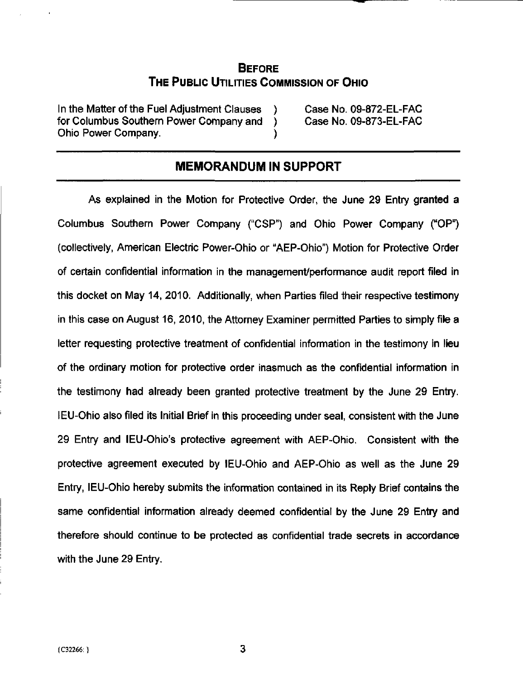### **BEFORE** THE PUBLIC UTILITIES COMMISSION OF OHIO

In the Matter of the Fuel Adjustment Clauses ) Case No. 09-872-EL-FAC for Columbus Southern Power Company and ) Case No. 09-873-EL-FAC Ohio Power Company. )

### MEMORANDUM IN SUPPORT

As explained in the Motion for Protective Order, the June 29 Entry granted a Columbus Southern Power Company ("CSP") and Ohio Power Company ("OP") (collectively, American Electric Power-Ohio or "AEP-Ohio") Motion for Protective Order of certain confidential information in the management/performance audit report filed in this docket on May 14, 2010. Additionally, when Parties filed their respective testimony in this case on August 16, 2010, the Attorney Examiner permitted Parties to simply file a letter requesting protective treatment of confidential information in the testimony in lieu of the ordinary mofion for protective order inasmuch as the confidenfial information in the testimony had already been granted protective treatment by the June 29 Entry. lEU-Ohio also filed its Inifial Brief in this proceeding under seal, consistent with the June 29 Entry and lEU-Ohio's protective agreement with AEP-Ohio. Consistent with the protective agreement executed by lEU-Ohio and AEP-Ohio as well as the June 29 Entry, lEU-Ohio hereby submits the information contained in its Reply Brief contains the same confidential information already deemed confidential by the June 29 Entry and therefore should continue to be protected as confidential trade secrets in accordance with the June 29 Entry.

3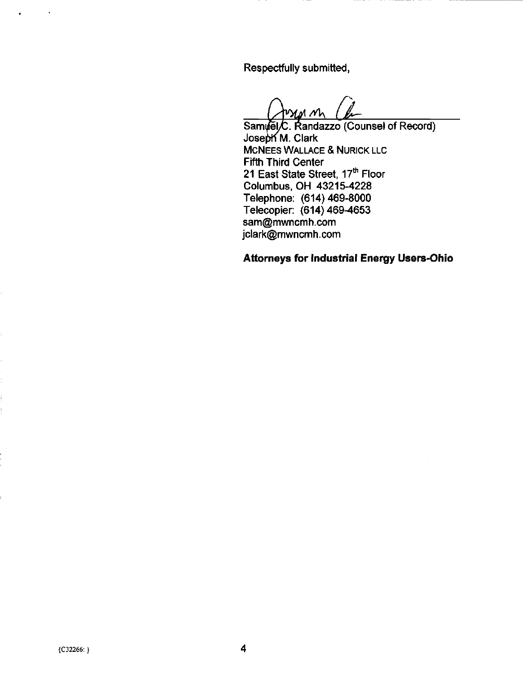Respectfully submitted,

(WWWW) M<br>Samuel/C. Randazzo (Counsel of Record)  $M_{\star}$ 

Joseph M. Clark McNEES WALLACE & NURICK LLC Fifth Third Center 21 East State Street, 17<sup>th</sup> Floor Columbus, OH 43215-4228 Telephone: (614)469-8000 Telecopier: (614)469-4653 [sam@mwncmh.com](mailto:sam@mwncmh.com)  [jclark@mwncmh.com](mailto:jclark@mwncmh.com) 

## Attorneys for Industrial Energy Users-Ohio